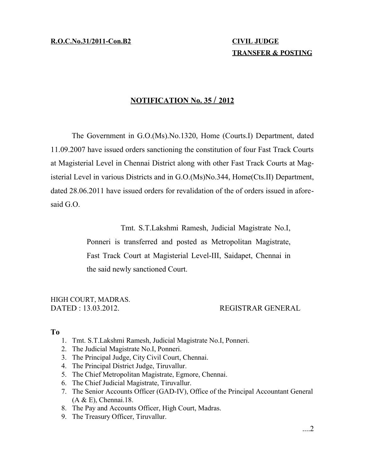**R.O.C.No.31/2011-Con.B2 CIVIL JUDGE**

# **TRANSFER & POSTING**

### **N OTIFICATION No. 35 / 2 012**

The Government in G.O.(Ms).No.1320, Home (Courts.I) Department, dated 11.09.2007 have issued orders sanctioning the constitution of four Fast Track Courts at Magisterial Level in Chennai District along with other Fast Track Courts at Magisterial Level in various Districts and in G.O.(Ms)No.344, Home(Cts.II) Department, dated 28.06.2011 have issued orders for revalidation of the of orders issued in aforesaid G.O.

Tmt. S.T.Lakshmi Ramesh, Judicial Magistrate No.I,

Ponneri is transferred and posted as Metropolitan Magistrate, Fast Track Court at Magisterial Level-III, Saidapet, Chennai in the said newly sanctioned Court.

## HIGH COURT, MADRAS.

DATED : 13.03.2012. REGISTRAR GENERAL

#### **To**

- 1. Tmt. S.T.Lakshmi Ramesh, Judicial Magistrate No.I, Ponneri.
- 2. The Judicial Magistrate No.I, Ponneri.
- 3. The Principal Judge, City Civil Court, Chennai.
- 4. The Principal District Judge, Tiruvallur.
- 5. The Chief Metropolitan Magistrate, Egmore, Chennai.
- 6. The Chief Judicial Magistrate, Tiruvallur.
- 7. The Senior Accounts Officer (GAD-IV), Office of the Principal Accountant General (A & E), Chennai.18.
- 8. The Pay and Accounts Officer, High Court, Madras.
- 9. The Treasury Officer, Tiruvallur.